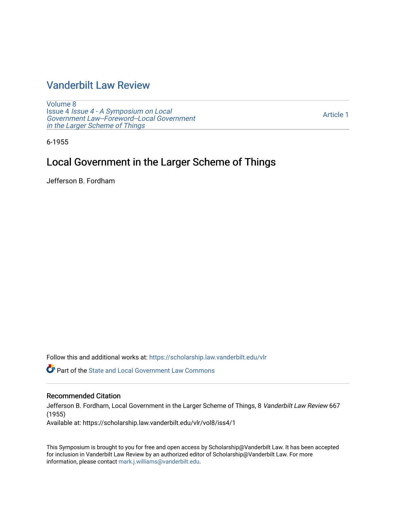### [Vanderbilt Law Review](https://scholarship.law.vanderbilt.edu/vlr)

[Volume 8](https://scholarship.law.vanderbilt.edu/vlr/vol8) Issue 4 [Issue 4 - A Symposium on Local](https://scholarship.law.vanderbilt.edu/vlr/vol8/iss4)  [Government Law--Foreword--Local Government](https://scholarship.law.vanderbilt.edu/vlr/vol8/iss4)  [in the Larger Scheme of Things](https://scholarship.law.vanderbilt.edu/vlr/vol8/iss4) 

[Article 1](https://scholarship.law.vanderbilt.edu/vlr/vol8/iss4/1) 

6-1955

## Local Government in the Larger Scheme of Things

Jefferson B. Fordham

Follow this and additional works at: [https://scholarship.law.vanderbilt.edu/vlr](https://scholarship.law.vanderbilt.edu/vlr?utm_source=scholarship.law.vanderbilt.edu%2Fvlr%2Fvol8%2Fiss4%2F1&utm_medium=PDF&utm_campaign=PDFCoverPages)

**P** Part of the [State and Local Government Law Commons](http://network.bepress.com/hgg/discipline/879?utm_source=scholarship.law.vanderbilt.edu%2Fvlr%2Fvol8%2Fiss4%2F1&utm_medium=PDF&utm_campaign=PDFCoverPages)

#### Recommended Citation

Jefferson B. Fordham, Local Government in the Larger Scheme of Things, 8 Vanderbilt Law Review 667 (1955)

Available at: https://scholarship.law.vanderbilt.edu/vlr/vol8/iss4/1

This Symposium is brought to you for free and open access by Scholarship@Vanderbilt Law. It has been accepted for inclusion in Vanderbilt Law Review by an authorized editor of Scholarship@Vanderbilt Law. For more information, please contact [mark.j.williams@vanderbilt.edu](mailto:mark.j.williams@vanderbilt.edu).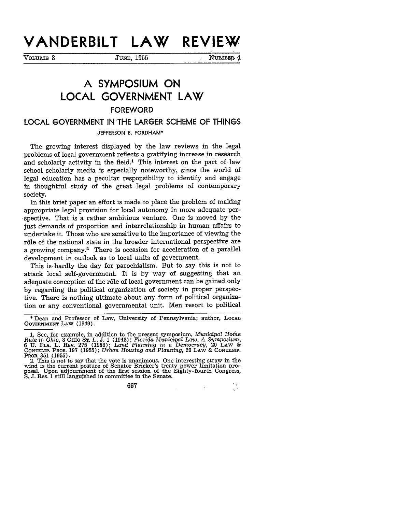# **VANDERBILT LAW REVIEW**

**VOL'UME** 8 **JUNE, 1955** NUMBER **4**

# **A SYMPOSIUM ON LOCAL GOVERNMENT LAW** FOREWORD

### **LOCAL GOVERNMENT IN "THE** LARGER **SCHEME** OF **THINGS**

JEFFERSON B. FORDHAM\*

The growing interest displayed by the law reviews in the legal problems of local government reflects a gratifying increase in research and scholarly activity in the field.<sup>1</sup> This interest on the part of law school scholarly media is especially noteworthy, since the world of legal education has a peculiar responsibility to identify and engage in thoughtful study of the great legal problems of contemporary society.

In this brief paper an effort is made to place the problem of making appropriate legal provision for local autonomy in more adequate per- •spective. That is a rather ambitious venture. One is moved by the just demands of proportion and interrelationship in human affairs to undertake it. Those who are sensitive to the importance of viewing the rôle of the national state in the broader international perspective are a growing company.2 There is occasion for acceleration of a parallel development in outlook as to local units of government.

This is-hardly the day for parochialism. But to say this is not to attack local self-government. It is by way of suggesting that an adequate conception of the rôle of local government can be gained only by regarding the political organization of society in proper perspective. There is nothing ultimate about any form of political organization or any conventional governmental unit. Men resort to political

**\*** Dean and Professor of Law, University of Pennsylvania; author, **LOCAL GOVERNMENT LAW** (1949).

 $\sim$   $\mu_{\rm s}$ 

 $\rightarrow$ 

**<sup>1.</sup>** See, for example, in addition to the present symposium, *Municipal* Home Rule *in Ohio,* 8 O io ST. L. **J. 1** (1948); *Florida Municipal Law, A Symposium,* 6 **U. FLA.** L. REV. 275 (1953); *Land Planning in a Democracy,* 20 LAW & **CONTEMP.** PROB. **197** (1955); *Urban Housing and Planning,* 20 LAW & **CONTEMP.**

PROB. 351 (1955).<br>2. This is not to say that the vote is unanimous. One interesting straw in the<br>wind is the current posture of Senator Bricker's treaty power limitation pro-<br>posal. Upon adjournment of the first session of

<sup>667</sup>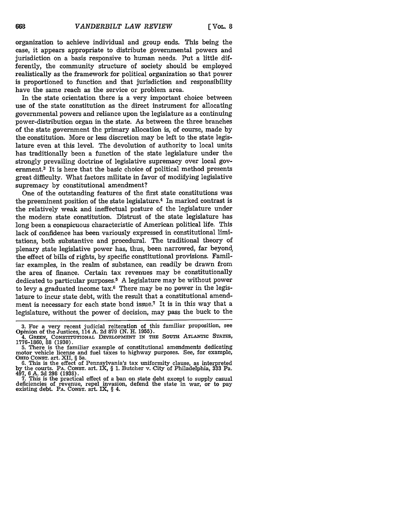organization to achieve individual and group ends. This being the case, it appears appropriate to distribute governmental powers and jurisdiction on a basis responsive to human needs. Put a little differently, the community structure of society should be employed realistically as the framework for political organization so that power is proportioned to function and that jurisdiction and responsibility have the same reach as the service or problem area.

In the state orientation there is a very important choice between use of the state constitution as the direct instrument for allocating governmental powers and reliance upon the legislature as a continuing power-distribution organ in the state. As between the three branches of the state government the primary allocation is, of course, made by the constitution. More or less discretion may be left to the state legislature even at this level. The devolution of authority to local units has traditionally been a function of the state legislature under the strongly prevailing doctrine of legislative supremacy over local government.<sup>3</sup> It is here that the basic choice of political method presents great difficulty. What factors militate in favor of modifying legislative supremacy by constitutional amendment?

One of the outstanding features of the first state constitutions was the preeminent position of the state legislature.<sup>4</sup> In marked contrast is the relatively weak and ineffectual posture of the legislature under the modern state constitution. Distrust of the state legislature has long been a conspicuous characteristic of American political life. This lack of confidence has been variously expressed in constitutional limitations, both substantive and procedural. The traditional theory of plenary state legislative power has, thus, been narrowed, far beyond, the effect of bills of rights, by specific constitutional provisions. Familiar examples, in the realm of substance, can readily be drawn from the area of finance. Certain tax revenues may be constitutionally dedicated to particular purposes. 5 A legislature may be without power to levy a graduated income tax.6 There may be no power in the legislature to incur state debt, with the result that a constitutional amendment is necessary for each state bond issue.<sup>7</sup> It is in this way that a legislature, without the power of decision, may pass the buck to the

**<sup>3.</sup>** For a very recent judicial reiteration of this familiar proposition, see Opinion of the Justices, 114 A. 2d 879 (N. H. **1955).**

<sup>4.</sup> **GREEN, CONSTITUTIONAL DEVELOPMENT** IN **THE SOUTH** ATLANTIC **STATES, 1776-1860,** 88 **(1930). 5.** There is the familiar example of constitutional amendments dedicating

motor vehicle license and fuel taxes to highway purposes. See, for example, OHIO CONsT. art. **XII,** § 5a.

**<sup>6.</sup>** This is the effect of Pennsylvania's tax uniformity clause, as interpreted **by the courts.** PA. **CONST.** art. IX, § **1.** Butcher v. City of Philadelphia, **333** Pa. 497, **6 A. 2d 298 (1938). 7.** This is the practical effect of a ban on state debt except to supply casual

deficiencies of revenue, repel invasion, defend the state in war, or to pay existing debt. PA. **CONST.** art. IX, **§** 4.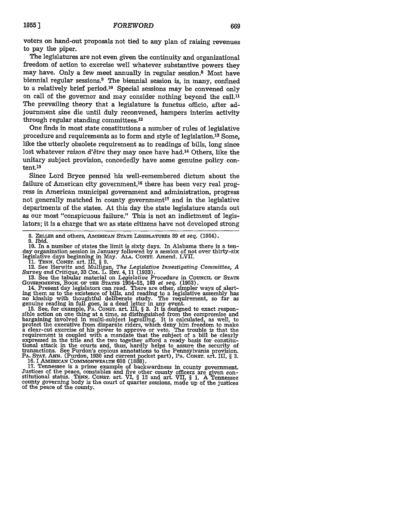voters on hand-out proposals not tied to any plan of raising revenues to pay the piper.

The legislatures are not even given the continuity and organizational freedom of action to exercise well whatever substantive powers they may have. Only a few meet annually in regular session.8 Most have biennial regular sessions.<sup>9</sup> The biennial session is, in many, confined to a relatively brief period.'0 Special sessions may be convened only on call of the governor and may consider nothing beyond the call.<sup>11</sup> The prevailing theory that a legislature is functus officio, after adjournment sine die until duly reconvened, hampers interim activity through regular standing committees. <sup>12</sup>

One finds in most state constitutions a number of rules of legislative procedure and requirements as to form and style of legislation. 13 Some, like the utterly obsolete requirement as to readings of bills, long since lost whatever *raison d'être* they may once have had.<sup>14</sup> Others, like the unitary subject provision, concededly have some genuine policy content.15

Since Lord Bryce penned his well-remembered dictum about the failure of American city government,<sup>16</sup> there has been very real progress in American municipal government and administration, progress not generally matched in county government<sup>17</sup> and in the legislative departments of the states. At this day the state legislature stands out as our most "conspicuous failure." This is not an indictment of legislators; it is a charge that we as state citizens have not developed strong

**10.** In a number of states the limit is sixty days. In Alabama there is a tenday organization session in January followed by a session of not over thirty-six legislative days beginning in May. ALA. CONST. Amend. LVII.

11. TENN. CONST. art. III, § 9.<br>
12. See Herwitz and Mulligan, The Legislative Investigating Committee, A<br>
Survey and Critique, 33 Col. L. REV. 4, 11 (1933).<br>
13. See the tabular material on Legislative Procedure in COUNCI

13. See the tabular material on *Legislative Procedure* in COUNCIL OF STATE GOVERNMENTS, BOOK OF THE STATES 1954-55, 103 *et seq.* (1953). 14. Present day legislators can read. There are other, simpler ways of alert-

ing them as to the existence of bills, and reading to a legislative assembly has no kinship with thoughtful deliberate study. The requirement, so far as genuine reading in full goes, is a dead letter in any event.

15. See, for example, PA. CONST. art. III, § **3.** It is designed to exact respon- sible action on one thing at a time, as distinguished from the compromise and bargaining involved in multi-subject logrolling. It is calculated, as well, to protect the executive from disparate riders, which deny him freedom to make a clear-cut exercise of his power to approve or veto. The trouble i requirement is coupled with a mandate that the subject of a bill be clearly expressed in the title and the two together afford a ready basis for constitutional attack in the courts and, thus, hardly helps to assure the security of transactions. See Purdon's copious annotations to the Pennsylvania provision. PA. **STAT. ANN.** (Purdon, 1930 and current pocket part), PA. CONST. art. III, § **3.**

17. Tennessee is a prime example of backwardness in county government.<br>Justices of the peace, constables and five other county officers are given constitutional status. TENN. CONST. art. VI, § 15 and art. VII, § 1. A Tenne county governing body is the court of quarter sessions, made up of the justices of the peace of the county.

<sup>8.</sup> **ZELLER** and others, AMERICAN **STATE** LEGISLATURES **89** et seq. (1954). *9. Ibid.*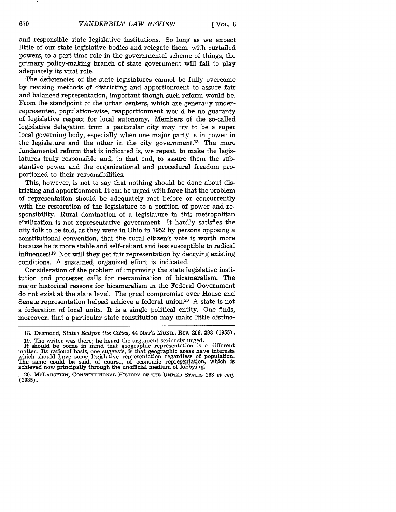and responsible state legislative institutions. So long as we expect little of our state legislative bodies and relegate them, with curtailed powers, to a part-time role in the governmental scheme of things, the primary policy-making branch of state government will fail to play adequately its vital role.

The deficiencies of the state legislatures cannot be fully overcome by revising methods of districting and apportionment to assure fair and balanced representation, important though such reform would be. From the standpoint of the urban centers, which are generally underrepresented, population-wise, reapportionment would be no guaranty of legislative respect for local autonomy. Members of the so-called legislative delegation from a particular city may try to be a super local governing body, especially when one major party is in power in the legislature and the other in the city government.<sup>18</sup> The more fundamental reform that is indicated is, we repeat, to make the legislatures truly responsible and, to that end, to assure them the substantive power and the organizational and procedural freedom proportioned to their responsibilities.

This, however, is not to say that nothing should be done about districting and apportionment. It can be urged with force that the problem of representation should be adequately met before or concurrently with the restoration of the legislature to a position of power and responsibility. Rural domination of a legislature in this metropolitan civilization is not representative government. It hardly satisfies the city folk to be told, as they were in Ohio in 1952 by persons opposing a constitutional convention, that the rural citizen's vote is worth more -because he is more stable and self-reliant and less susceptible to radical influences! 19 Nor will they get fair representation by decrying existing conditions. A sustained, organized effort is indicated.

Consideration of the problem of improving the state legislative institution and processes calls for reexamination of bicameralism. The major historical reasons for bicameralism in the Federal Government do not exist at the state level. The great compromise over House and Senate representation helped achieve a federal union.<sup>20</sup> A state is not a federation of local units. It is a single political entity. One finds, moreover, that a particular state constitution may make little distinc-

**<sup>18.</sup>** Desmond, *States Eclipse the Cities,* 44 **NAT'L MUNIc. REV.** 296, 298 (1955).

<sup>19.</sup> The writer was there; he heard the argument seriously urged. It should be borne in mind that geographic representation is a different matter. Its rational basis, one suggests, is that geographic areas have interests which should have some legislative representation regardless of population.<br>The same could be said, of course, of economic representation, which is The same could be said, of course, of economic representation, which is<br>achieved now principally through the unofficial medium of lobbying.

<sup>20.</sup> **McLAUGHLIN, CONSTITUTIONAL HISTORY OF THE UNITED STATES 163** *et seq.* (1935).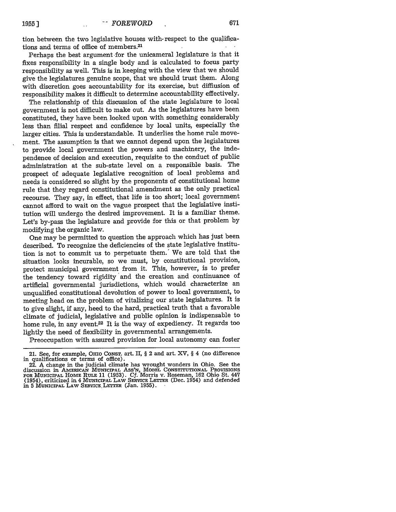tion between the two legislative houses with respect to the qualifications and terms of office of members.21

Perhaps the best argument for the unicameral legislature is that it fixes responsibility in a single body and is calculated to focus party responsibility as well. This is in keeping with the view that we should give the legislatures genuine scope, that we should trust them. Along with discretion goes accountability for its exercise, but difflusion of responsibility makes it difficult to determine accountability effectively.

The relationship of this discussion of the state legislature to local government is not difficult to make out. As the legislatures have been constituted, they have been looked upon with something considerably less than filial respect and confidence by local units, especially the larger cities. This is understandable. It underlies the home rule movement. The assumption is that we cannot depend upon the legislatures to provide local government the powers and machinery, the independence of decision and execution, requisite to the conduct of public administration at the sub-state level on a responsible basis. The prospect of adequate legislative recognition of local problems and needs is considered so slight by the proponents of constitutional home rule that they regard constitutional amendment as the only practical recourse. They say, in effect, that life is too short; local government cannot afford to wait on the vague prospect that the legislative institution will undergo the desired improvement. It is a familiar theme. Let's by-pass the legislature and provide for this or that problem by modifying the organic law.

One may be permitted to question the approach which has just been described. To recognize the deficiencies of the state legislative institution is not to commit us to perpetuate them.' We are told that the situation looks incurable, so we must, by constitutional provision, protect municipal government from it. This, however, is to prefer the tendency toward rigidity 'and the creation and continuance of artificial governmental jurisdictions, which would characterize an unqualified constitutional devolution of power to local government, to meeting head on the problem of vitalizing our state legislatures. It is to give slight, **if** any, heed to the hard, practical truth that a favorable climate of judicial, legislative and public opinion is indispensable to home rule, in any event.22 It is the way of expediency. It regards too lightly the need of fiexibility in governmental arrangements.

Preoccupation with assured provision for local autonomy can foster

<sup>21.</sup> See, for example, OHIo CONsT. art. II, § 2 and art. XV, § 4 (no difference in qualifications or terms of office).

<sup>22.</sup> A change in the judicial climate has wrought wonders in Ohio. See the discussion in AMERICAN **MUNICIPAL** Ass'N, **MODEL CONSTITUTIONAL** PROVISIONS FOR **MUNICIPAL** HOME RULE **11 (1953). Cf.** Morris v. Roseman, **162** Ohio St. 447 (1954), criticized in 4 MUNICIPAL LAW SERVICE LETTER (Dec. 1954) and defended in 5 MUNICIPAL LAW SERVICE LETTER (Jan. 1955).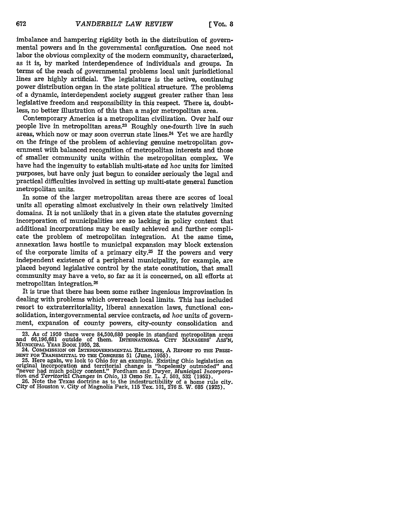imbalance and hampering rigidity both in the distribution of governmental powers and in the governmental configuration. One need not labor the obvious complexity of the modern community, characterized, as it is, by marked interdependence of individuals and groups. In terms of the reach of governmental problems local unit jurisdictional lines are highly artificial. The legislature is the active, continuing power distribution organ in the state political structure. The problems of a dynamic, interdependent society suggest greater rather than less legislative freedom and responsibility in this respect. There is, doubtless, no better illustration of this than a major metropolitan area.

Contemporary America is a metropolitan civilization. Over half our people live in metropolitan areas.<sup>23</sup> Roughly one-fourth live in such areas, which now or may soon overrun state lines.<sup>24</sup> Yet we are hardly on the fringe of the problem of achieving genuine metropolitan government with balanced recognition of metropolitan interests and those of smaller community units within the metropolitan complex. We have had the ingenuity to establish multi-state *ad* hoc units for limited purposes, but have only just begun to consider seriously the legal and practical difficulties involved in setting up multi-state general function metropolitan units.

In some of the larger metropolitan areas there are scores of local units all operating almost exclusively in their own relatively limited domains. It is not unlikely that in a given state the statutes governing incorporation of municipalities are so lacking in policy content that additional incorporations may be easily achieved and further complicate the problem of metropolitan integration. At the same time, annexation laws hostile to municipal expansion may block extension of the corporate limits of a primary city.25 If the powers and very independent existence of a peripheral municipality, for example, are placed beyond legislative control by the state constitution, that small community may have a veto, so far as it is concerned, on all efforts at metropolitan integration.26

It is true that there has been some rather ingenious improvisation in dealing with problems which overreach local limits. This has included resort to extraterritoriality, liberal annexation laws, functional consolidation, intergovernmental service contracts, ad hoc units of government, expansion of county powers, city-county consolidation and

<sup>23.</sup> As of 1950 there were 84,500,680 people in standard metropolitan areas and 66,196,681 outside of them. **INTERNATIONAL CITY** MANAGERS' Ass'N, MUNICIPAL YEAR BOOK **1955,** 28.

<sup>24.</sup> COMMISSION ON INTERGOVERNMENTAL RELATIONS, A REPORT TO THE PRESI-<br>DENT FOR TRANSMITTAL TO THE CONGRESS 51 (June, 1955).

<sup>25.</sup> Here again, we look to Ohio for an example. Existing Ohio legislation on<br>original incorporation and territorial change is "hopelessly outmoded" and<br>"never had much policy content." Fordham and Dwyer, Municipal Incorpor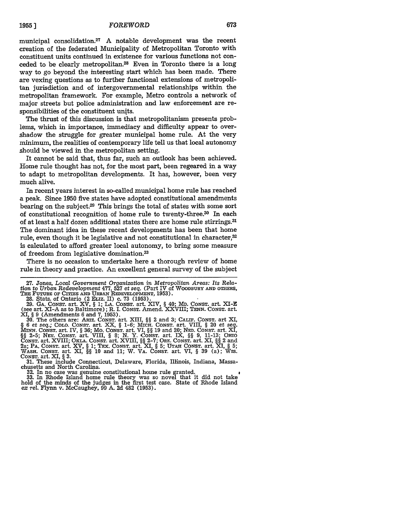municipal consolidation.27 A notable development was the recent creation of the federated Municipality of Metropolitan Toronto with constituent units continued in existence for various functions not conceded to be clearly metropolitan.<sup>28</sup> Even in Toronto there is a long way to go beyond the interesting start which has been made. There are vexing questions as to further functional extensions of metropolitan jurisdiction and of intergovernmental relationships within the metropolitan framework. For example, Metro controls a network of major streets but police administration and law enforcement are responsibilities of the constituent units.

The thrust of this discussion is that metropolitanism presents problems, which in importance, immediacy and difficulty appear to overshadow the struggle for greater municipal home rule. At the very minimum, the realities of contemporary life tell us that local autonomy should be viewed in the metropolitan setting.

It cannot be said that, thus far, such an outlook has been achieved. Home rule thought has not, for the most part, been regeared in a way to adapt to metropolitan developments. It has, however, been very much alive.

In recent years interest in so-called municipal home rule has reached a peak. Since 1950 five states have adopted constitutional amendments bearing on the subject.<sup>29</sup> This brings the total of states with some sort of constitutional recognition of home rule to twenty-three.<sup>30</sup> In each of at least a half dozen additional states there are home rule stirrings.<sup>31</sup> The dominant idea in these recent developments has been that home rule, even though it be legislative and not constitutional in character,<sup>32</sup> is calculated to afford greater local autonomy, to bring some measure of freedom from legislative domination.<sup>33</sup>

There is no occasion to undertake here a thorough review of home rule in theory and practice. An excellent general survey of the subject

31. These include Connecticut, Delaware, Florida, Illinois, Indiana, Massachusetts and North Carolina.<br>32. In no case was genuine constitutional home rule granted.

**33.** In Rhode Island home rule theory was so novel that it did not take hold of the minds of the judges in the first test case. State of Rhode Island *ex rel.* Flynn v. McCaughey, 99 A. 2d 482 (1953).

**<sup>27.</sup>** Jones, Local *Government Organization in Metropolitan Areas: Its Relation to Urban Redevelopment* 477, **527** *et seq.* (Part IV of WOODBURY **AND** OTHERS, **THE FUTURE** OF **CITIEs AND URBAN** REDEVELOPMENT, **1953).**

<sup>28.</sup> Stats. of Ontario (2 ELIZ. II) c. 73 (1953).<br>29. GA. CONST. art. XV, § 1; LA. CONST. art. XIV, § 40; MD. CONST. art. XI-E<br>(see art. XI-A as to Baltimore); R. I. CONST. Amend. XXVIII; TENN. CONST. art.

XI, § 9 (Amendments 6 and 7, 1953).<br>30. The others are: ARIZ. Consr. art. XIII, §§ 2 and 3; CALIF. Consr. art XI, § 6 et seq.; COLO. CONST. art. XX, § 1-6; MICH. CONST. art. VIII, § 20 et seq. *MINN.* CONST. art. IV, § **36;** Mo. CONST. art. VI, §§ **19** and 20; **NEB.** CoNsT. art. XI, §§ 2-5; NEV. CONST. art. VIII, § 8; N. Y. CoNsT. art. IX, §§ 9, 11-13; **OHIO** CONST. art. XVIII; OKLA. CONST. art. XVIII, §§ **2-7;** ORE. CONST. art. XI, §§ 2 and 2a; PA. CONST. art. XV, § 1; TEx. CONST. art. XI, § 5; UTAH CONST. art. XI, § **5;** WASH. CONST. art. **XI,** §§ 10 and **11;** W. VA. CONST. art. VI, § **39** (a); Wis. CONST. art. XI, § 3.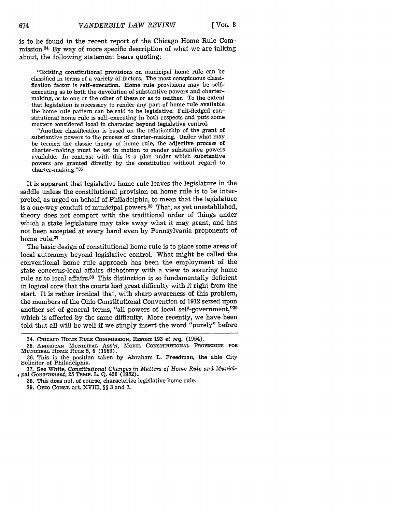is to be found in the recent report of the Chicago Home Rule Commission.34 By way of more specific description of what we are talking about, the following statement bears quoting:

"Existing constitutional provisions on municipal home rule can be classified in terms of a variety of factors. The most conspicuous classification factor is self-execution. Home rule provisions may be selfexecuting as to both the devolution of substantive powers and chartermaking, as to one or the other of these or as to neither. To the extent that legislation is necessary to render any part of home rule available the home rule pattern can be said to be legislative. Full-fledged constitutional home rule is self-executing in both respects and puts some matters considered local in character beyond legislative control.

"Another classification is based on the relationship of the grant of substantive powers to the process of charter-making. Under what may be termed the classic theory of home rule, the adjective process of charter-making must be set in motion to render substantive powers available. In contrast with this is a plan under which substantive powers are granted directly by the constitution without regard to charter-making." <sup>35</sup>

It is apparent that legislative home rule leaves the legislature in the saddle unless the constitutional provision on home rule is to be interpreted, as urged on behalf of Philadelphia, to mean that the legislature is a one-way conduit of municipal powers.<sup>36</sup> That, as yet unestablished, theory does not comport with the traditional order of things under which a state legislature may take away what it may grant, and has not been accepted at every hand even by Pennsylvania proponents of home rule.37

The basic design of constitutional home rule is to place some areas of local autonomy beyond legislative control. What might be called the conventional home rule approach has been the employment of the state concerns-local affairs dichotomy with a view to assuring home rule as to local affairs.<sup>38</sup> This distinction is so fundamentally deficient in logical core that the courts had great difficulty with it right from the start. It is rather ironical that, with sharp awareness of this problem, the members of the Ohio Constitutional Convention of 1912 seized upon another set of general terms, "all powers of local self-government,"39 which is affected by the same difficulty. More recently, we have been told-that all will be well if we simply insert the word "purely" before

39. OHIo **CONsT.** art. XVIII, §§ 3 and 7.

<sup>34.</sup> **CHICAGO HOME** RULE CoMnIssIoN, REPORT **193** *et seq.* (1954).

**<sup>35.</sup> AMERICAN MUNICIPAL** Ass'N, **MODEL** CONSTITUTIONAL **PROVISIONS** FOR MUNICIPAL HOME **RULE** 5, 6 (1953).

**<sup>36.</sup>** This is the position taken **by** Abraham L. Freedman, the able City Solicitor of Philadelphia.

**<sup>37.</sup>** See White, *Constitutional Changes in Matters of Home Rule* and *Munici- ,* pal *Government,* 25 **TEMP.** L. Q. 428 (1952).

<sup>38.</sup> This does not, of course, characterize legislative home rule.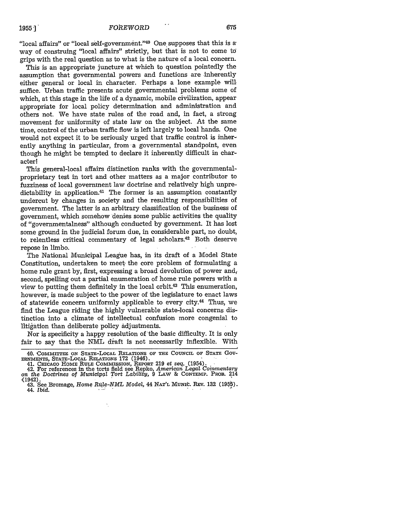"local affairs" or "local self-government."<sup>40</sup> One supposes that this is a way of construing "local affairs" strictly, but that is not to come to grips with the real question as to what is the nature of a local concern.

This is an appropriate juncture at which to question pointedly the assumption that governmental powers and functions are inherently either general or local in character. Perhaps a lone example will. suffice. Urban traffic presents acute governmental problems some of which, at this stage in the life of a dynamic, mobile civilization, appear appropriate for local policy determination and administration and others not. We have state rules of the road and, in fact, a strong movement for uniformity of state law on the subject. At the same time, control of the urban traffic flow is left largely to local hands. One would not expect it to be seriously urged that traffic control is inherently anything in particular, from a governmental standpoint, even though he might be tempted to declare it inherently difficult in character!

This general-local affairs distinction ranks with the governmentalproprietary test in tort and other matters as a major contributor to fuzziness of local government law doctrine and relatively high unpredictability in application.<sup>41</sup> The former is an assumption constantly undercut by changes in society and the resulting responsibilities of government. The latter is an arbitrary classification of the business of government, which somehow denies some public activities the quality of "governmentalness" although conducted by government. It has lost some ground in the judicial forum due, in considerable part, no doubt, to relentless critical commentary of legal scholars.<sup>42</sup> Both deserve repose in limbo.

The National Municipal League has, in its draft of a Model State Constitution, undertaken to meet, the core problem of formulating a home rule grant by, first, expressing a broad devolution of power and, second, spelling out a partial enumeration of home rule powers with a view to putting them definitely in the local orbit.<sup>43</sup> This enumeration, however, is made subject to the power of the legislature to enact laws of statewide concern uniformly applicable to every city.44 Thus, we find the League riding the highly vulnerable state-local concerns distinction into a climate of intellectual confusion more congenial to litigation than deliberate policy adjustments.

Nor is specificity a happy resolution of'the basic difficulty. It is only fair to say that the NML draft is not necessarily inflexible. With

41. **CHICAGO** HOME **RULE COMMISSION,** REPORT 219 et *seq.* (1954). 42. For references **in** the torts field see Repko, *American Legal Coinmentary on the Doctrines* of Municipal Tort Lability, 9 LAw & **CONTEMP.** PROB. 214 {1942). 43. See Bromage, *Home Rutle-NML Model,* 44 **NAT'L** Muit. REv. **132 (195b).**

<sup>40.</sup> COMMITTEE **ON STATE-LOCAL** RELATIONS OF THE **COUNCIL** OF **STATE** Gov-**ERNMENTS,** STATE-LOCAL RELATIONS **172** (1946).

<sup>44.</sup> Ibid.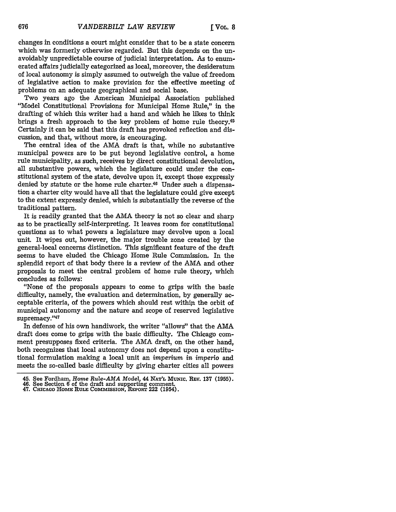changes in conditions a court might consider that to be a state concern which was formerly otherwise regarded. But this depends on the unavoidably unpredictable course of judicial interpretation. As to enumerated affairs judicially categorized as local, moreover, the desideratum of local autonomy is simply assumed to outweigh the value of freedom of legislative action to make provision for the effective meeting of problems on an adequate geographical and social base.

Two years ago the American Municipal Association published "Model Constitutional Provisions for Municipal Home Rule," in the drafting of which this writer had a hand and which he likes to think brings a fresh approach to the key problem of home rule theory.45 Certainly it can be said that this draft has provoked reflection and discussion, and that, without more, is encouraging.

The central idea of the AMA draft is that, while no substantive municipal powers are to be put beyond legislative control, a home rule municipality, as such, receives **by** direct constitutional devolution, all substantive powers, which the legislature could under the constitutional system of the state, devolve upon it, except those expressly denied **by** statute or the home rule charter.46 Under such a dispensation a charter city would have all that the legislature could give except to the extent expressly denied, which is substantially the reverse of the traditional pattern.

It is readily granted that the AMA theory is not so clear and sharp as to be practically self-interpreting. It leaves room for constitutional questions as to what powers a legislature may devolve upon a local unit. It wipes out, however, the major trouble zone created **by** the general-local concerns distinction. This significant feature of the draft seems to have eluded the Chicago Home Rule Commission. In the splendid report of that body there is a review of the AMA and other proposals to meet the central problem of home rule theory, which concludes as follows'.

"None of the proposals appears to come to grips with the basic difficulty, namely, the evaluation and determination, **by** generally acceptable criteria, of the powers which should rest within the orbit of municipal autonomy and the nature and scope of reserved legislative supremacy."47

In defense of his own handiwork, the writer "allows" that the AMA draft does come to grips with the basic difficulty. The Chicago comment presupposes fixed criteria. The AMA draft, on the other hand, both recognizes that local autonomy does not depend upon a constitutional formulation making a local unit an *imperium in imperio* and meets the so-called basic difficulty by giving charter cities all powers

- 46. See Section 6 of the draft and supporting comment.<br>47. CHICAGO HOME RULE COMMISSION, REPORT 222 (1954).
- 

<sup>45.</sup> See Fordham, *Home Rule-AMA Model,* 44 **NAT'L MumIc.** REv. **137 (1955).** 46. See Section 6 of the draft and supporting comment.